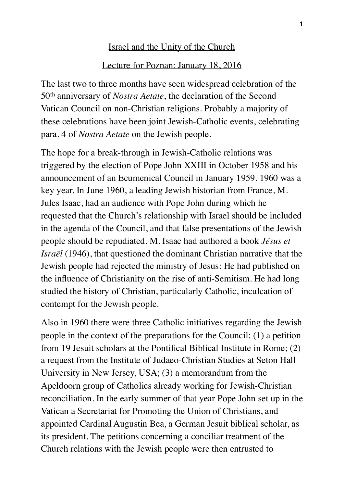## Israel and the Unity of the Church

## Lecture for Poznan: January 18, 2016

The last two to three months have seen widespread celebration of the 50th anniversary of *Nostra Aetate*, the declaration of the Second Vatican Council on non-Christian religions. Probably a majority of these celebrations have been joint Jewish-Catholic events, celebrating para. 4 of *Nostra Aetate* on the Jewish people.

The hope for a break-through in Jewish-Catholic relations was triggered by the election of Pope John XXIII in October 1958 and his announcement of an Ecumenical Council in January 1959. 1960 was a key year. In June 1960, a leading Jewish historian from France, M. Jules Isaac, had an audience with Pope John during which he requested that the Church's relationship with Israel should be included in the agenda of the Council, and that false presentations of the Jewish people should be repudiated. M. Isaac had authored a book *Jésus et Israël* (1946), that questioned the dominant Christian narrative that the Jewish people had rejected the ministry of Jesus: He had published on the influence of Christianity on the rise of anti-Semitism. He had long studied the history of Christian, particularly Catholic, inculcation of contempt for the Jewish people.

Also in 1960 there were three Catholic initiatives regarding the Jewish people in the context of the preparations for the Council: (1) a petition from 19 Jesuit scholars at the Pontifical Biblical Institute in Rome; (2) a request from the Institute of Judaeo-Christian Studies at Seton Hall University in New Jersey, USA; (3) a memorandum from the Apeldoorn group of Catholics already working for Jewish-Christian reconciliation. In the early summer of that year Pope John set up in the Vatican a Secretariat for Promoting the Union of Christians, and appointed Cardinal Augustin Bea, a German Jesuit biblical scholar, as its president. The petitions concerning a conciliar treatment of the Church relations with the Jewish people were then entrusted to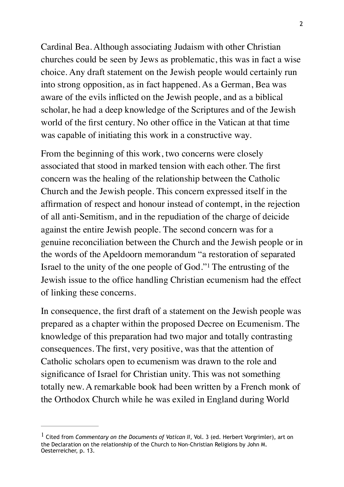Cardinal Bea. Although associating Judaism with other Christian churches could be seen by Jews as problematic, this was in fact a wise choice. Any draft statement on the Jewish people would certainly run into strong opposition, as in fact happened. As a German, Bea was aware of the evils inflicted on the Jewish people, and as a biblical scholar, he had a deep knowledge of the Scriptures and of the Jewish world of the first century. No other office in the Vatican at that time was capable of initiating this work in a constructive way.

From the beginning of this work, two concerns were closely associated that stood in marked tension with each other. The first concern was the healing of the relationship between the Catholic Church and the Jewish people. This concern expressed itself in the affirmation of respect and honour instead of contempt, in the rejection of all anti-Semitism, and in the repudiation of the charge of deicide against the entire Jewish people. The second concern was for a genuine reconciliation between the Church and the Jewish people or in the words of the Apeldoorn memorandum "a restoration of separated Israel to the unity of the one people of God.["](#page-1-0)<sup>[1](#page-1-0)</sup> The entrusting of the Jewish issue to the office handling Christian ecumenism had the effect of linking these concerns.

<span id="page-1-1"></span>In consequence, the first draft of a statement on the Jewish people was prepared as a chapter within the proposed Decree on Ecumenism. The knowledge of this preparation had two major and totally contrasting consequences. The first, very positive, was that the attention of Catholic scholars open to ecumenism was drawn to the role and significance of Israel for Christian unity. This was not something totally new. A remarkable book had been written by a French monk of the Orthodox Church while he was exiled in England during World

<span id="page-1-0"></span><sup>&</sup>lt;sup>[1](#page-1-1)</sup> Cited from *Commentary on the Documents of Vatican II*, Vol. 3 (ed. Herbert Vorgrimler), art on the Declaration on the relationship of the Church to Non-Christian Religions by John M. Oesterreicher, p. 13.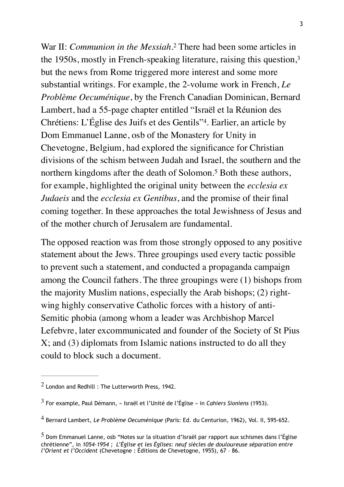<span id="page-2-6"></span><span id="page-2-5"></span><span id="page-2-4"></span>War II: *Communion in the Messiah*.<sup>[2](#page-2-0)</sup> There had been some articles in the 1950s, mostly in French-speaking literature, raising this question[,3](#page-2-1) but the news from Rome triggered more interest and some more substantial writings. For example, the 2-volume work in French, *Le Problème Oecuménique*, by the French Canadian Dominican, Bernard Lambert, had a 55-page chapter entitled "Israël et la Réunion des Chrétiens: L'Église des Juifs et des Gentils"<sup>[4](#page-2-2)</sup>. Earlier, an article by Dom Emmanuel Lanne, osb of the Monastery for Unity in Chevetogne, Belgium, had explored the significance for Christian divisions of the schism between Judah and Israel, the southern and the northern kingdoms after the death of Solomon.<sup>[5](#page-2-3)</sup> Both these authors, for example, highlighted the original unity between the *ecclesia ex Judaeis* and the *ecclesia ex Gentibus*, and the promise of their final coming together. In these approaches the total Jewishness of Jesus and of the mother church of Jerusalem are fundamental.

<span id="page-2-7"></span>The opposed reaction was from those strongly opposed to any positive statement about the Jews. Three groupings used every tactic possible to prevent such a statement, and conducted a propaganda campaign among the Council fathers. The three groupings were (1) bishops from the majority Muslim nations, especially the Arab bishops; (2) rightwing highly conservative Catholic forces with a history of anti-Semitic phobia (among whom a leader was Archbishop Marcel Lefebvre, later excommunicated and founder of the Society of St Pius X; and (3) diplomats from Islamic nations instructed to do all they could to block such a document.

<span id="page-2-0"></span> $2$  London and Redhill : The Lutterworth Press, 1942.

<span id="page-2-1"></span>For example, Paul Démann, « Israël et l'Unité de l'Église » in *Cahiers Sioniens* (1953). [3](#page-2-5)

<span id="page-2-2"></span>Bernard Lambert, *Le Problème Oecuménique* (Paris: Ed. du Centurion, 1962), Vol. II, 595-652. [4](#page-2-6)

<span id="page-2-3"></span> $^5$  $^5$  Dom Emmanuel Lanne, osb "Notes sur la situation d'Israël par rapport aux schismes dans l'Église chrétienne", in *1054-1954 ; L'Église et les Églises: neuf siècles de douloureuse séparation entre l'Orient et l'Occident* (Chevetogne : Éditions de Chevetogne, 1955), 67 – 86.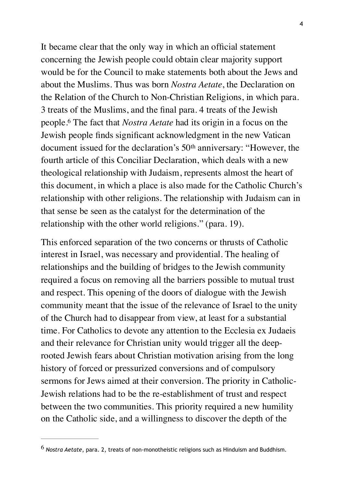<span id="page-3-1"></span>It became clear that the only way in which an official statement concerning the Jewish people could obtain clear majority support would be for the Council to make statements both about the Jews and about the Muslims. Thus was born *Nostra Aetate*, the Declaration on the Relation of the Church to Non-Christian Religions, in which para. 3 treats of the Muslims, and the final para. 4 treats of the Jewish people.The fact that *Nostra Aetate* had its origin in a focus on the 6 Jewish people finds significant acknowledgment in the new Vatican document issued for the declaration's 50th anniversary: "However, the fourth article of this Conciliar Declaration, which deals with a new theological relationship with Judaism, represents almost the heart of this document, in which a place is also made for the Catholic Church's relationship with other religions. The relationship with Judaism can in that sense be seen as the catalyst for the determination of the relationship with the other world religions." (para. 19).

This enforced separation of the two concerns or thrusts of Catholic interest in Israel, was necessary and providential. The healing of relationships and the building of bridges to the Jewish community required a focus on removing all the barriers possible to mutual trust and respect. This opening of the doors of dialogue with the Jewish community meant that the issue of the relevance of Israel to the unity of the Church had to disappear from view, at least for a substantial time. For Catholics to devote any attention to the Ecclesia ex Judaeis and their relevance for Christian unity would trigger all the deeprooted Jewish fears about Christian motivation arising from the long history of forced or pressurized conversions and of compulsory sermons for Jews aimed at their conversion. The priority in Catholic-Jewish relations had to be the re-establishment of trust and respect between the two communities. This priority required a new humility on the Catholic side, and a willingness to discover the depth of the

<span id="page-3-0"></span>*Nostra Aetate*, para. 2, treats of non-monotheistic religions such as Hinduism and Buddhism. [6](#page-3-1)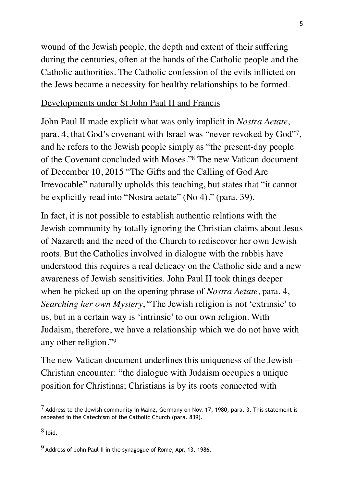wound of the Jewish people, the depth and extent of their suffering during the centuries, often at the hands of the Catholic people and the Catholic authorities. The Catholic confession of the evils inflicted on the Jews became a necessity for healthy relationships to be formed.

## Developments under St John Paul II and Francis

<span id="page-4-4"></span><span id="page-4-3"></span>John Paul II made explicit what was only implicit in *Nostra Aetate*, para. 4, that God's covenant with Israel was "never revoked by God"<sup>[7](#page-4-0)</sup>, and he refers to the Jewish people simply as "the present-day people of the Covenant concluded with Moses.["](#page-4-1)<sup>[8](#page-4-1)</sup> The new Vatican document of December 10, 2015 "The Gifts and the Calling of God Are Irrevocable" naturally upholds this teaching, but states that "it cannot be explicitly read into "Nostra aetate" (No 4)." (para. 39).

In fact, it is not possible to establish authentic relations with the Jewish community by totally ignoring the Christian claims about Jesus of Nazareth and the need of the Church to rediscover her own Jewish roots. But the Catholics involved in dialogue with the rabbis have understood this requires a real delicacy on the Catholic side and a new awareness of Jewish sensitivities. John Paul II took things deeper when he picked up on the opening phrase of *Nostra Aetate*, para. 4, *Searching her own Mystery*, "The Jewish religion is not 'extrinsic' to us, but in a certain way is 'intrinsic' to our own religion. With Judaism, therefore, we have a relationship which we do not have with any other religion."[9](#page-4-2)

<span id="page-4-5"></span>The new Vatican document underlines this uniqueness of the Jewish – Christian encounter: "the dialogue with Judaism occupies a unique position for Christians; Christians is by its roots connected with

<span id="page-4-0"></span> $^7$  $^7$  Address to the Jewish community in Mainz, Germany on Nov. 17, 1980, para. 3. This statement is repeated in the Catechism of the Catholic Church (para. 839).

<span id="page-4-1"></span> $8$  Ibid.

<span id="page-4-2"></span> $9$  Address of John Paul II in the synagogue of Rome, Apr. 13, 1986.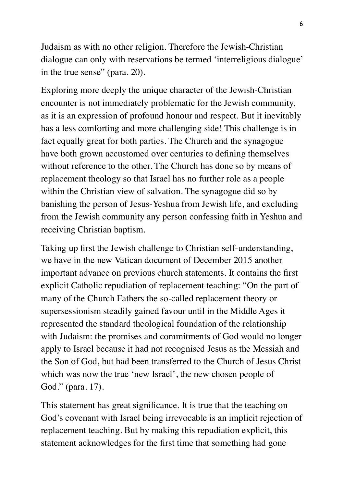Judaism as with no other religion. Therefore the Jewish-Christian dialogue can only with reservations be termed 'interreligious dialogue' in the true sense" (para. 20).

Exploring more deeply the unique character of the Jewish-Christian encounter is not immediately problematic for the Jewish community, as it is an expression of profound honour and respect. But it inevitably has a less comforting and more challenging side! This challenge is in fact equally great for both parties. The Church and the synagogue have both grown accustomed over centuries to defining themselves without reference to the other. The Church has done so by means of replacement theology so that Israel has no further role as a people within the Christian view of salvation. The synagogue did so by banishing the person of Jesus-Yeshua from Jewish life, and excluding from the Jewish community any person confessing faith in Yeshua and receiving Christian baptism.

Taking up first the Jewish challenge to Christian self-understanding, we have in the new Vatican document of December 2015 another important advance on previous church statements. It contains the first explicit Catholic repudiation of replacement teaching: "On the part of many of the Church Fathers the so-called replacement theory or supersessionism steadily gained favour until in the Middle Ages it represented the standard theological foundation of the relationship with Judaism: the promises and commitments of God would no longer apply to Israel because it had not recognised Jesus as the Messiah and the Son of God, but had been transferred to the Church of Jesus Christ which was now the true 'new Israel', the new chosen people of God." (para. 17).

This statement has great significance. It is true that the teaching on God's covenant with Israel being irrevocable is an implicit rejection of replacement teaching. But by making this repudiation explicit, this statement acknowledges for the first time that something had gone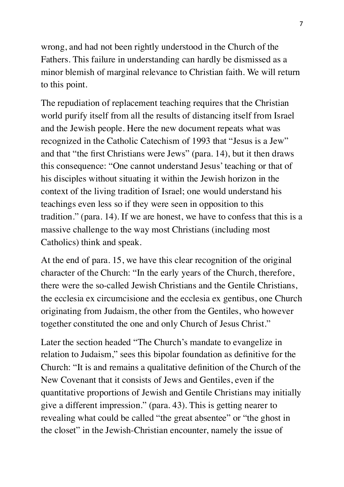wrong, and had not been rightly understood in the Church of the Fathers. This failure in understanding can hardly be dismissed as a minor blemish of marginal relevance to Christian faith. We will return to this point.

The repudiation of replacement teaching requires that the Christian world purify itself from all the results of distancing itself from Israel and the Jewish people. Here the new document repeats what was recognized in the Catholic Catechism of 1993 that "Jesus is a Jew" and that "the first Christians were Jews" (para. 14), but it then draws this consequence: "One cannot understand Jesus' teaching or that of his disciples without situating it within the Jewish horizon in the context of the living tradition of Israel; one would understand his teachings even less so if they were seen in opposition to this tradition." (para. 14). If we are honest, we have to confess that this is a massive challenge to the way most Christians (including most Catholics) think and speak.

At the end of para. 15, we have this clear recognition of the original character of the Church: "In the early years of the Church, therefore, there were the so-called Jewish Christians and the Gentile Christians, the ecclesia ex circumcisione and the ecclesia ex gentibus, one Church originating from Judaism, the other from the Gentiles, who however together constituted the one and only Church of Jesus Christ."

Later the section headed "The Church's mandate to evangelize in relation to Judaism," sees this bipolar foundation as definitive for the Church: "It is and remains a qualitative definition of the Church of the New Covenant that it consists of Jews and Gentiles, even if the quantitative proportions of Jewish and Gentile Christians may initially give a different impression." (para. 43). This is getting nearer to revealing what could be called "the great absentee" or "the ghost in the closet" in the Jewish-Christian encounter, namely the issue of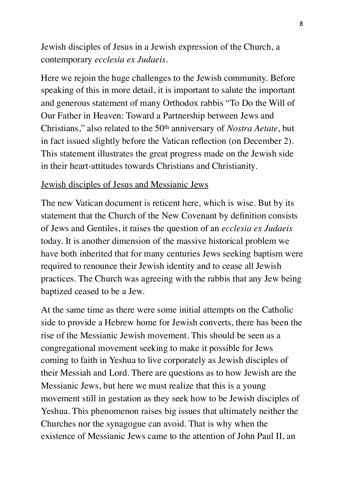Jewish disciples of Jesus in a Jewish expression of the Church, a contemporary *ecclesia ex Judaeis*.

Here we rejoin the huge challenges to the Jewish community. Before speaking of this in more detail, it is important to salute the important and generous statement of many Orthodox rabbis "To Do the Will of Our Father in Heaven: Toward a Partnership between Jews and Christians," also related to the 50th anniversary of *Nostra Aetate*, but in fact issued slightly before the Vatican reflection (on December 2). This statement illustrates the great progress made on the Jewish side in their heart-attitudes towards Christians and Christianity.

## Jewish disciples of Jesus and Messianic Jews

The new Vatican document is reticent here, which is wise. But by its statement that the Church of the New Covenant by definition consists of Jews and Gentiles, it raises the question of an *ecclesia ex Judaeis* today. It is another dimension of the massive historical problem we have both inherited that for many centuries Jews seeking baptism were required to renounce their Jewish identity and to cease all Jewish practices. The Church was agreeing with the rabbis that any Jew being baptized ceased to be a Jew.

At the same time as there were some initial attempts on the Catholic side to provide a Hebrew home for Jewish converts, there has been the rise of the Messianic Jewish movement. This should be seen as a congregational movement seeking to make it possible for Jews coming to faith in Yeshua to live corporately as Jewish disciples of their Messiah and Lord. There are questions as to how Jewish are the Messianic Jews, but here we must realize that this is a young movement still in gestation as they seek how to be Jewish disciples of Yeshua. This phenomenon raises big issues that ultimately neither the Churches nor the synagogue can avoid. That is why when the existence of Messianic Jews came to the attention of John Paul II, an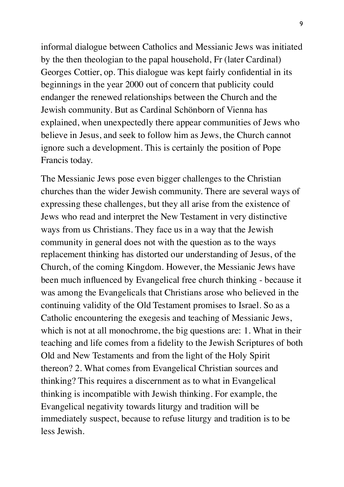informal dialogue between Catholics and Messianic Jews was initiated by the then theologian to the papal household, Fr (later Cardinal) Georges Cottier, op. This dialogue was kept fairly confidential in its beginnings in the year 2000 out of concern that publicity could endanger the renewed relationships between the Church and the Jewish community. But as Cardinal Schönborn of Vienna has explained, when unexpectedly there appear communities of Jews who believe in Jesus, and seek to follow him as Jews, the Church cannot ignore such a development. This is certainly the position of Pope Francis today.

The Messianic Jews pose even bigger challenges to the Christian churches than the wider Jewish community. There are several ways of expressing these challenges, but they all arise from the existence of Jews who read and interpret the New Testament in very distinctive ways from us Christians. They face us in a way that the Jewish community in general does not with the question as to the ways replacement thinking has distorted our understanding of Jesus, of the Church, of the coming Kingdom. However, the Messianic Jews have been much influenced by Evangelical free church thinking - because it was among the Evangelicals that Christians arose who believed in the continuing validity of the Old Testament promises to Israel. So as a Catholic encountering the exegesis and teaching of Messianic Jews, which is not at all monochrome, the big questions are: 1. What in their teaching and life comes from a fidelity to the Jewish Scriptures of both Old and New Testaments and from the light of the Holy Spirit thereon? 2. What comes from Evangelical Christian sources and thinking? This requires a discernment as to what in Evangelical thinking is incompatible with Jewish thinking. For example, the Evangelical negativity towards liturgy and tradition will be immediately suspect, because to refuse liturgy and tradition is to be less Jewish.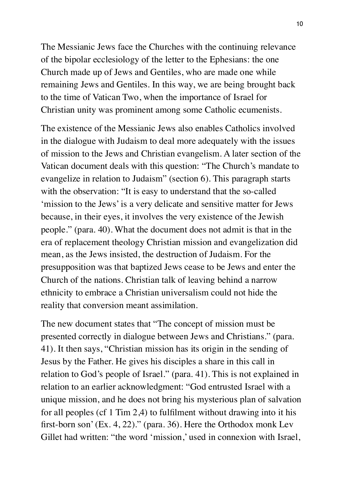The Messianic Jews face the Churches with the continuing relevance of the bipolar ecclesiology of the letter to the Ephesians: the one Church made up of Jews and Gentiles, who are made one while remaining Jews and Gentiles. In this way, we are being brought back to the time of Vatican Two, when the importance of Israel for Christian unity was prominent among some Catholic ecumenists.

The existence of the Messianic Jews also enables Catholics involved in the dialogue with Judaism to deal more adequately with the issues of mission to the Jews and Christian evangelism. A later section of the Vatican document deals with this question: "The Church's mandate to evangelize in relation to Judaism" (section 6). This paragraph starts with the observation: "It is easy to understand that the so-called 'mission to the Jews' is a very delicate and sensitive matter for Jews because, in their eyes, it involves the very existence of the Jewish people." (para. 40). What the document does not admit is that in the era of replacement theology Christian mission and evangelization did mean, as the Jews insisted, the destruction of Judaism. For the presupposition was that baptized Jews cease to be Jews and enter the Church of the nations. Christian talk of leaving behind a narrow ethnicity to embrace a Christian universalism could not hide the reality that conversion meant assimilation.

The new document states that "The concept of mission must be presented correctly in dialogue between Jews and Christians." (para. 41). It then says, "Christian mission has its origin in the sending of Jesus by the Father. He gives his disciples a share in this call in relation to God's people of Israel." (para. 41). This is not explained in relation to an earlier acknowledgment: "God entrusted Israel with a unique mission, and he does not bring his mysterious plan of salvation for all peoples (cf 1 Tim 2,4) to fulfilment without drawing into it his first-born son' (Ex. 4, 22)." (para. 36). Here the Orthodox monk Lev Gillet had written: "the word 'mission,' used in connexion with Israel,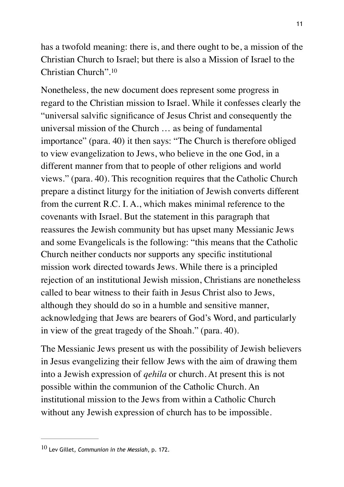has a twofold meaning: there is, and there ought to be, a mission of the Christian Church to Israel; but there is also a Mission of Israel to the Christian Church".[10](#page-10-0)

<span id="page-10-1"></span>Nonetheless, the new document does represent some progress in regard to the Christian mission to Israel. While it confesses clearly the "universal salvific significance of Jesus Christ and consequently the universal mission of the Church … as being of fundamental importance" (para. 40) it then says: "The Church is therefore obliged to view evangelization to Jews, who believe in the one God, in a different manner from that to people of other religions and world views." (para. 40). This recognition requires that the Catholic Church prepare a distinct liturgy for the initiation of Jewish converts different from the current R.C. I. A., which makes minimal reference to the covenants with Israel. But the statement in this paragraph that reassures the Jewish community but has upset many Messianic Jews and some Evangelicals is the following: "this means that the Catholic Church neither conducts nor supports any specific institutional mission work directed towards Jews. While there is a principled rejection of an institutional Jewish mission, Christians are nonetheless called to bear witness to their faith in Jesus Christ also to Jews, although they should do so in a humble and sensitive manner, acknowledging that Jews are bearers of God's Word, and particularly in view of the great tragedy of the Shoah." (para. 40).

The Messianic Jews present us with the possibility of Jewish believers in Jesus evangelizing their fellow Jews with the aim of drawing them into a Jewish expression of *qehila* or church. At present this is not possible within the communion of the Catholic Church. An institutional mission to the Jews from within a Catholic Church without any Jewish expression of church has to be impossible.

<span id="page-10-0"></span><sup>&</sup>lt;sup>[10](#page-10-1)</sup> Lev Gillet, *Communion in the Messiah*, p. 172.